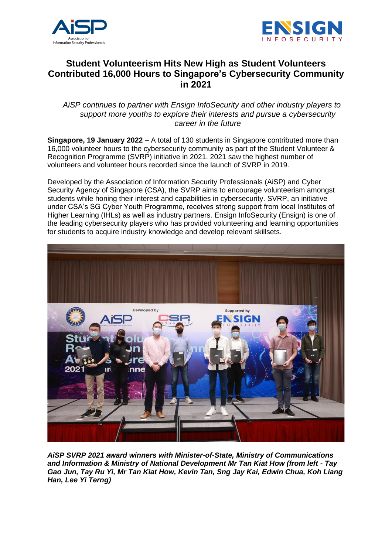



# **Student Volunteerism Hits New High as Student Volunteers Contributed 16,000 Hours to Singapore's Cybersecurity Community in 2021**

*AiSP continues to partner with Ensign InfoSecurity and other industry players to support more youths to explore their interests and pursue a cybersecurity career in the future* 

**Singapore, 19 January 2022** – A total of 130 students in Singapore contributed more than 16,000 volunteer hours to the cybersecurity community as part of the Student Volunteer & Recognition Programme (SVRP) initiative in 2021. 2021 saw the highest number of volunteers and volunteer hours recorded since the launch of SVRP in 2019.

Developed by the Association of Information Security Professionals (AiSP) and Cyber Security Agency of Singapore (CSA), the SVRP aims to encourage volunteerism amongst students while honing their interest and capabilities in cybersecurity. SVRP, an initiative under CSA's SG Cyber Youth Programme, receives strong support from local Institutes of Higher Learning (IHLs) as well as industry partners. Ensign InfoSecurity (Ensign) is one of the leading cybersecurity players who has provided volunteering and learning opportunities for students to acquire industry knowledge and develop relevant skillsets.



*AiSP SVRP 2021 award winners with Minister-of-State, Ministry of Communications and Information & Ministry of National Development Mr Tan Kiat How (from left - Tay Gao Jun, Tay Ru Yi, Mr Tan Kiat How, Kevin Tan, Sng Jay Kai, Edwin Chua, Koh Liang Han, Lee Yi Terng)*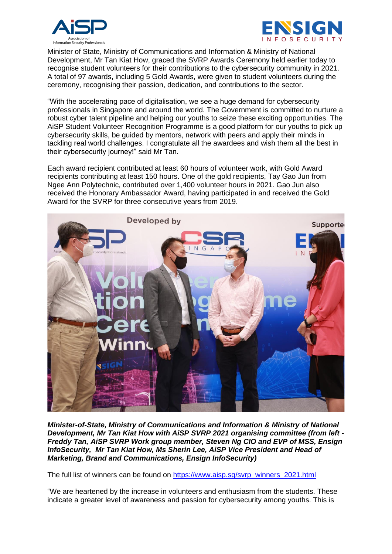



Minister of State, Ministry of Communications and Information & Ministry of National Development, Mr Tan Kiat How, graced the SVRP Awards Ceremony held earlier today to recognise student volunteers for their contributions to the cybersecurity community in 2021. A total of 97 awards, including 5 Gold Awards, were given to student volunteers during the ceremony, recognising their passion, dedication, and contributions to the sector.

"With the accelerating pace of digitalisation, we see a huge demand for cybersecurity professionals in Singapore and around the world. The Government is committed to nurture a robust cyber talent pipeline and helping our youths to seize these exciting opportunities. The AiSP Student Volunteer Recognition Programme is a good platform for our youths to pick up cybersecurity skills, be guided by mentors, network with peers and apply their minds in tackling real world challenges. I congratulate all the awardees and wish them all the best in their cybersecurity journey!" said Mr Tan.

Each award recipient contributed at least 60 hours of volunteer work, with Gold Award recipients contributing at least 150 hours. One of the gold recipients, Tay Gao Jun from Ngee Ann Polytechnic, contributed over 1,400 volunteer hours in 2021. Gao Jun also received the Honorary Ambassador Award, having participated in and received the Gold Award for the SVRP for three consecutive years from 2019.



*Minister-of-State, Ministry of Communications and Information & Ministry of National Development, Mr Tan Kiat How with AiSP SVRP 2021 organising committee (from left - Freddy Tan, AiSP SVRP Work group member, Steven Ng CIO and EVP of MSS, Ensign InfoSecurity, Mr Tan Kiat How, Ms Sherin Lee, AiSP Vice President and Head of Marketing, Brand and Communications, Ensign InfoSecurity)*

The full list of winners can be found on [https://www.aisp.sg/svrp\\_winners\\_2021.html](https://www.aisp.sg/svrp_winners_2021.html)

"We are heartened by the increase in volunteers and enthusiasm from the students. These indicate a greater level of awareness and passion for cybersecurity among youths. This is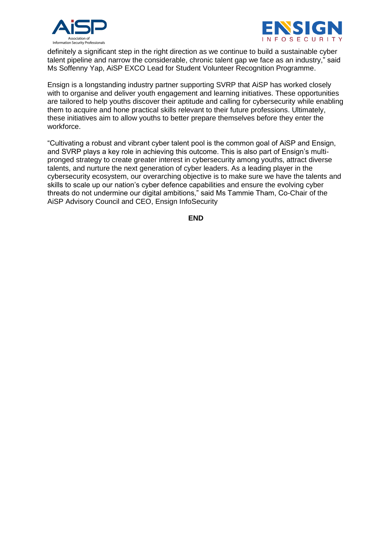



definitely a significant step in the right direction as we continue to build a sustainable cyber talent pipeline and narrow the considerable, chronic talent gap we face as an industry," said Ms Soffenny Yap, AiSP EXCO Lead for Student Volunteer Recognition Programme.

Ensign is a longstanding industry partner supporting SVRP that AiSP has worked closely with to organise and deliver youth engagement and learning initiatives. These opportunities are tailored to help youths discover their aptitude and calling for cybersecurity while enabling them to acquire and hone practical skills relevant to their future professions. Ultimately, these initiatives aim to allow youths to better prepare themselves before they enter the workforce.

"Cultivating a robust and vibrant cyber talent pool is the common goal of AiSP and Ensign, and SVRP plays a key role in achieving this outcome. This is also part of Ensign's multipronged strategy to create greater interest in cybersecurity among youths, attract diverse talents, and nurture the next generation of cyber leaders. As a leading player in the cybersecurity ecosystem, our overarching objective is to make sure we have the talents and skills to scale up our nation's cyber defence capabilities and ensure the evolving cyber threats do not undermine our digital ambitions," said Ms Tammie Tham, Co-Chair of the AiSP Advisory Council and CEO, Ensign InfoSecurity

**END**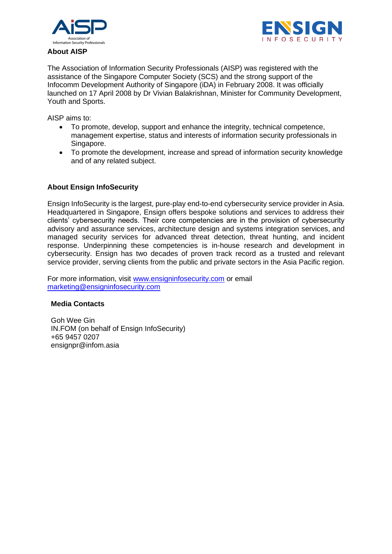



### **About AISP**

The Association of Information Security Professionals (AISP) was registered with the assistance of the Singapore Computer Society (SCS) and the strong support of the Infocomm Development Authority of Singapore (iDA) in February 2008. It was officially launched on 17 April 2008 by Dr Vivian Balakrishnan, Minister for Community Development, Youth and Sports.

AISP aims to:

- To promote, develop, support and enhance the integrity, technical competence, management expertise, status and interests of information security professionals in Singapore.
- To promote the development, increase and spread of information security knowledge and of any related subject.

## **About Ensign InfoSecurity**

Ensign InfoSecurity is the largest, pure-play end-to-end cybersecurity service provider in Asia. Headquartered in Singapore, Ensign offers bespoke solutions and services to address their clients' cybersecurity needs. Their core competencies are in the provision of cybersecurity advisory and assurance services, architecture design and systems integration services, and managed security services for advanced threat detection, threat hunting, and incident response. Underpinning these competencies is in-house research and development in cybersecurity. Ensign has two decades of proven track record as a trusted and relevant service provider, serving clients from the public and private sectors in the Asia Pacific region.

For more information, visit [www.ensigninfosecurity.com](http://www.ensigninfosecurity.com/) or email [marketing@ensigninfosecurity.com](mailto:marketing@ensigninfosecurity.com)

#### **Media Contacts**

Goh Wee Gin IN.FOM (on behalf of Ensign InfoSecurity) +65 9457 0207 ensignpr@infom.asia